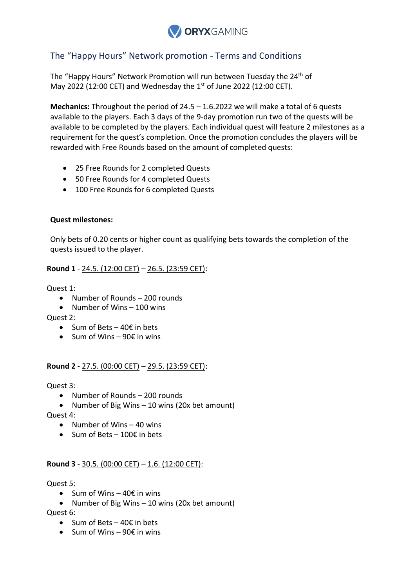

# The "Happy Hours" Network promotion - Terms and Conditions

The "Happy Hours" Network Promotion will run between Tuesday the 24<sup>th</sup> of May 2022 (12:00 CET) and Wednesday the  $1<sup>st</sup>$  of June 2022 (12:00 CET).

**Mechanics:** Throughout the period of 24.5 – 1.6.2022 we will make a total of 6 quests available to the players. Each 3 days of the 9-day promotion run two of the quests will be available to be completed by the players. Each individual quest will feature 2 milestones as a requirement for the quest's completion. Once the promotion concludes the players will be rewarded with Free Rounds based on the amount of completed quests:

- 25 Free Rounds for 2 completed Quests
- 50 Free Rounds for 4 completed Quests
- 100 Free Rounds for 6 completed Quests

#### **Quest milestones:**

Only bets of 0.20 cents or higher count as qualifying bets towards the completion of the quests issued to the player.

# **Round 1** - 24.5. (12:00 CET) – 26.5. (23:59 CET):

Quest 1:

- Number of Rounds 200 rounds
- Number of Wins  $-100$  wins

Quest 2:

- $\bullet$  Sum of Bets 40 $\epsilon$  in bets
- $\bullet$  Sum of Wins 90 $\epsilon$  in wins

# **Round 2** - 27.5. (00:00 CET) – 29.5. (23:59 CET):

Quest 3:

- Number of Rounds 200 rounds
- Number of Big Wins 10 wins (20x bet amount)

Quest 4:

- $\bullet$  Number of Wins  $-40$  wins
- Sum of Bets 100€ in bets

# **Round 3** - 30.5. (00:00 CET) – 1.6. (12:00 CET):

#### Quest 5:

- $\bullet$  Sum of Wins 40€ in wins
- Number of Big Wins  $-10$  wins (20x bet amount)

Quest 6:

- $\bullet$  Sum of Bets 40€ in bets
- $\bullet$  Sum of Wins 90€ in wins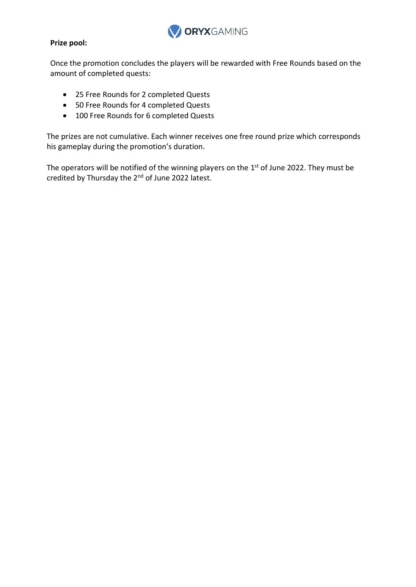

#### **Prize pool:**

Once the promotion concludes the players will be rewarded with Free Rounds based on the amount of completed quests:

- 25 Free Rounds for 2 completed Quests
- 50 Free Rounds for 4 completed Quests
- 100 Free Rounds for 6 completed Quests

The prizes are not cumulative. Each winner receives one free round prize which corresponds his gameplay during the promotion's duration.

The operators will be notified of the winning players on the  $1<sup>st</sup>$  of June 2022. They must be credited by Thursday the 2<sup>nd</sup> of June 2022 latest.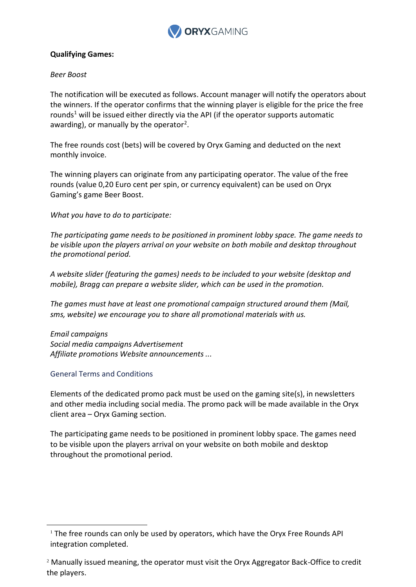

# **Qualifying Games:**

#### *Beer Boost*

The notification will be executed as follows. Account manager will notify the operators about the winners. If the operator confirms that the winning player is eligible for the price the free rounds<sup>1</sup> will be issued either directly via the API (if the operator supports automatic awarding), or manually by the operator<sup>2</sup>.

The free rounds cost (bets) will be covered by Oryx Gaming and deducted on the next monthly invoice.

The winning players can originate from any participating operator. The value of the free rounds (value 0,20 Euro cent per spin, or currency equivalent) can be used on Oryx Gaming's game Beer Boost.

*What you have to do to participate:*

*The participating game needs to be positioned in prominent lobby space. The game needs to be visible upon the players arrival on your website on both mobile and desktop throughout the promotional period.*

*A website slider (featuring the games) needs to be included to your website (desktop and mobile), Bragg can prepare a website slider, which can be used in the promotion.*

*The games must have at least one promotional campaign structured around them (Mail, sms, website) we encourage you to share all promotional materials with us.*

*Email campaigns Social media campaigns Advertisement Affiliate promotions Website announcements ...*

# General Terms and Conditions

-

Elements of the dedicated promo pack must be used on the gaming site(s), in newsletters and other media including social media. The promo pack will be made available in the Oryx client area – Oryx Gaming section.

The participating game needs to be positioned in prominent lobby space. The games need to be visible upon the players arrival on your website on both mobile and desktop throughout the promotional period.

<sup>1</sup> The free rounds can only be used by operators, which have the Oryx Free Rounds API integration completed.

 $2$  Manually issued meaning, the operator must visit the Oryx Aggregator Back-Office to credit the players.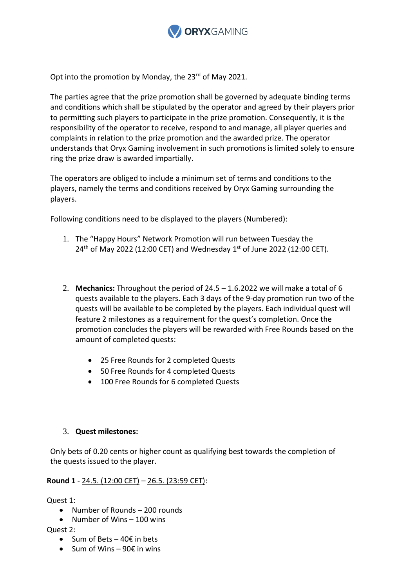

Opt into the promotion by Monday, the 23<sup>rd</sup> of May 2021.

The parties agree that the prize promotion shall be governed by adequate binding terms and conditions which shall be stipulated by the operator and agreed by their players prior to permitting such players to participate in the prize promotion. Consequently, it is the responsibility of the operator to receive, respond to and manage, all player queries and complaints in relation to the prize promotion and the awarded prize. The operator understands that Oryx Gaming involvement in such promotions is limited solely to ensure ring the prize draw is awarded impartially.

The operators are obliged to include a minimum set of terms and conditions to the players, namely the terms and conditions received by Oryx Gaming surrounding the players.

Following conditions need to be displayed to the players (Numbered):

- 1. The "Happy Hours" Network Promotion will run between Tuesday the  $24<sup>th</sup>$  of May 2022 (12:00 CET) and Wednesday 1<sup>st</sup> of June 2022 (12:00 CET).
- 2. **Mechanics:** Throughout the period of 24.5 1.6.2022 we will make a total of 6 quests available to the players. Each 3 days of the 9-day promotion run two of the quests will be available to be completed by the players. Each individual quest will feature 2 milestones as a requirement for the quest's completion. Once the promotion concludes the players will be rewarded with Free Rounds based on the amount of completed quests:
	- 25 Free Rounds for 2 completed Quests
	- 50 Free Rounds for 4 completed Quests
	- 100 Free Rounds for 6 completed Quests

#### 3. **Quest milestones:**

Only bets of 0.20 cents or higher count as qualifying best towards the completion of the quests issued to the player.

# **Round 1** - 24.5. (12:00 CET) – 26.5. (23:59 CET):

Quest 1:

Number of Rounds – 200 rounds

• Number of Wins  $-100$  wins

Quest 2:

- $\bullet$  Sum of Bets 40€ in bets
- $\bullet$  Sum of Wins 90€ in wins